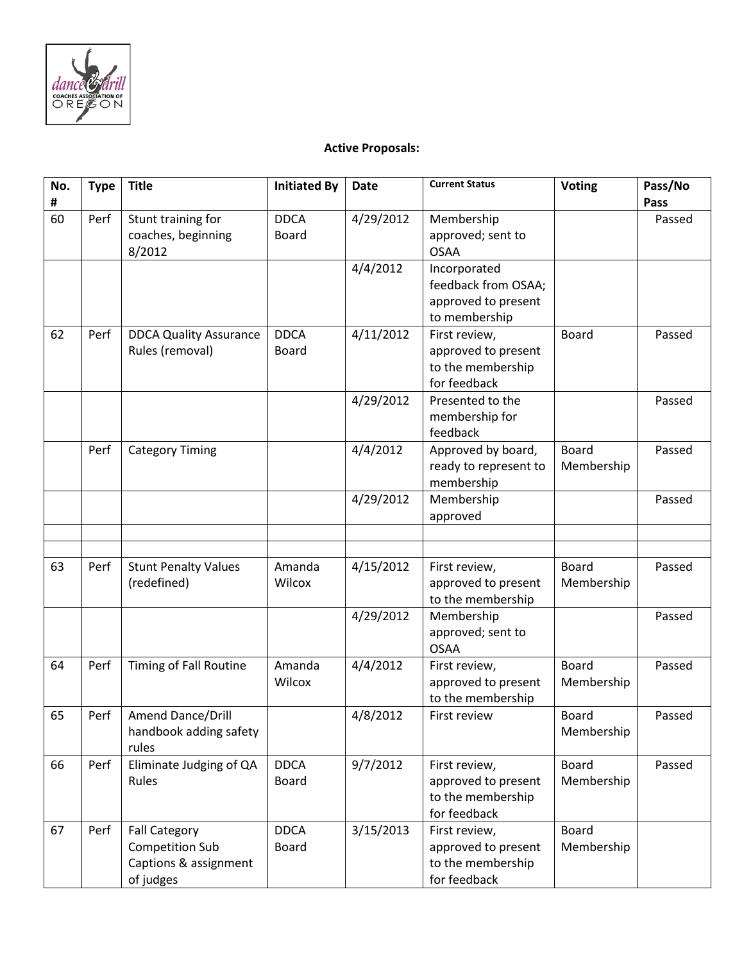

## **Active Proposals:**

| No.<br># | <b>Type</b> | <b>Title</b>                                                                         | <b>Initiated By</b>         | <b>Date</b> | <b>Current Status</b>                                                       | Voting                     | Pass/No<br>Pass |
|----------|-------------|--------------------------------------------------------------------------------------|-----------------------------|-------------|-----------------------------------------------------------------------------|----------------------------|-----------------|
| 60       | Perf        | Stunt training for<br>coaches, beginning<br>8/2012                                   | <b>DDCA</b><br><b>Board</b> | 4/29/2012   | Membership<br>approved; sent to<br><b>OSAA</b>                              |                            | Passed          |
|          |             |                                                                                      |                             | 4/4/2012    | Incorporated<br>feedback from OSAA;<br>approved to present<br>to membership |                            |                 |
| 62       | Perf        | <b>DDCA Quality Assurance</b><br>Rules (removal)                                     | <b>DDCA</b><br><b>Board</b> | 4/11/2012   | First review,<br>approved to present<br>to the membership<br>for feedback   | <b>Board</b>               | Passed          |
|          |             |                                                                                      |                             | 4/29/2012   | Presented to the<br>membership for<br>feedback                              |                            | Passed          |
|          | Perf        | <b>Category Timing</b>                                                               |                             | 4/4/2012    | Approved by board,<br>ready to represent to<br>membership                   | <b>Board</b><br>Membership | Passed          |
|          |             |                                                                                      |                             | 4/29/2012   | Membership<br>approved                                                      |                            | Passed          |
|          |             |                                                                                      |                             |             |                                                                             |                            |                 |
| 63       | Perf        | <b>Stunt Penalty Values</b><br>(redefined)                                           | Amanda<br>Wilcox            | 4/15/2012   | First review,<br>approved to present<br>to the membership                   | <b>Board</b><br>Membership | Passed          |
|          |             |                                                                                      |                             | 4/29/2012   | Membership<br>approved; sent to<br><b>OSAA</b>                              |                            | Passed          |
| 64       | Perf        | <b>Timing of Fall Routine</b>                                                        | Amanda<br>Wilcox            | 4/4/2012    | First review,<br>approved to present<br>to the membership                   | <b>Board</b><br>Membership | Passed          |
| 65       | Perf        | <b>Amend Dance/Drill</b><br>handbook adding safety<br>rules                          |                             | 4/8/2012    | First review                                                                | <b>Board</b><br>Membership | Passed          |
| 66       | Perf        | Eliminate Judging of QA<br>Rules                                                     | <b>DDCA</b><br>Board        | 9/7/2012    | First review,<br>approved to present<br>to the membership<br>for feedback   | <b>Board</b><br>Membership | Passed          |
| 67       | Perf        | <b>Fall Category</b><br><b>Competition Sub</b><br>Captions & assignment<br>of judges | <b>DDCA</b><br><b>Board</b> | 3/15/2013   | First review,<br>approved to present<br>to the membership<br>for feedback   | <b>Board</b><br>Membership |                 |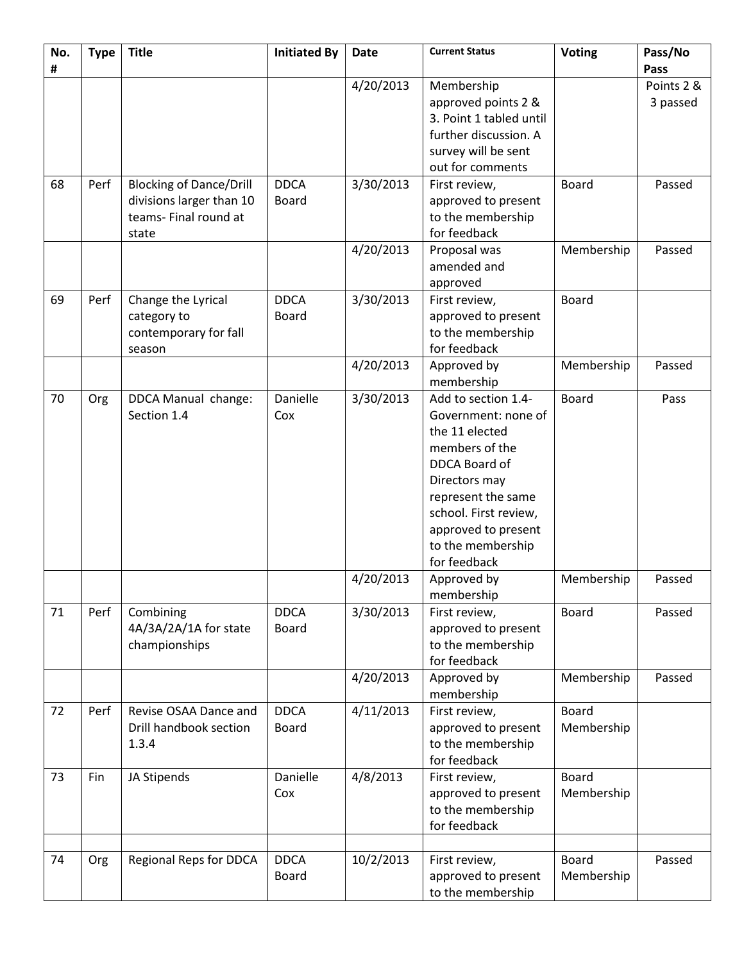| No.<br># | <b>Type</b> | <b>Title</b>                                                                                 | <b>Initiated By</b>         | <b>Date</b> | <b>Current Status</b>                                                                                                                                                                                                       | Voting                     | Pass/No<br>Pass        |
|----------|-------------|----------------------------------------------------------------------------------------------|-----------------------------|-------------|-----------------------------------------------------------------------------------------------------------------------------------------------------------------------------------------------------------------------------|----------------------------|------------------------|
|          |             |                                                                                              |                             | 4/20/2013   | Membership<br>approved points 2 &<br>3. Point 1 tabled until<br>further discussion. A<br>survey will be sent<br>out for comments                                                                                            |                            | Points 2 &<br>3 passed |
| 68       | Perf        | <b>Blocking of Dance/Drill</b><br>divisions larger than 10<br>teams- Final round at<br>state | <b>DDCA</b><br><b>Board</b> | 3/30/2013   | First review,<br>approved to present<br>to the membership<br>for feedback                                                                                                                                                   | <b>Board</b>               | Passed                 |
|          |             |                                                                                              |                             | 4/20/2013   | Proposal was<br>amended and<br>approved                                                                                                                                                                                     | Membership                 | Passed                 |
| 69       | Perf        | Change the Lyrical<br>category to<br>contemporary for fall<br>season                         | <b>DDCA</b><br><b>Board</b> | 3/30/2013   | First review,<br>approved to present<br>to the membership<br>for feedback                                                                                                                                                   | <b>Board</b>               |                        |
|          |             |                                                                                              |                             | 4/20/2013   | Approved by<br>membership                                                                                                                                                                                                   | Membership                 | Passed                 |
| 70       | Org         | DDCA Manual change:<br>Section 1.4                                                           | Danielle<br>Cox             | 3/30/2013   | Add to section 1.4-<br>Government: none of<br>the 11 elected<br>members of the<br>DDCA Board of<br>Directors may<br>represent the same<br>school. First review,<br>approved to present<br>to the membership<br>for feedback | <b>Board</b>               | Pass                   |
|          |             |                                                                                              |                             | 4/20/2013   | Approved by<br>membership                                                                                                                                                                                                   | Membership                 | Passed                 |
| 71       | Perf        | Combining<br>4A/3A/2A/1A for state<br>championships                                          | <b>DDCA</b><br><b>Board</b> | 3/30/2013   | First review,<br>approved to present<br>to the membership<br>for feedback                                                                                                                                                   | <b>Board</b>               | Passed                 |
|          |             |                                                                                              |                             | 4/20/2013   | Approved by<br>membership                                                                                                                                                                                                   | Membership                 | Passed                 |
| 72       | Perf        | Revise OSAA Dance and<br>Drill handbook section<br>1.3.4                                     | <b>DDCA</b><br><b>Board</b> | 4/11/2013   | First review,<br>approved to present<br>to the membership<br>for feedback                                                                                                                                                   | <b>Board</b><br>Membership |                        |
| 73       | Fin         | JA Stipends                                                                                  | Danielle<br>Cox             | 4/8/2013    | First review,<br>approved to present<br>to the membership<br>for feedback                                                                                                                                                   | <b>Board</b><br>Membership |                        |
| 74       | Org         | Regional Reps for DDCA                                                                       | <b>DDCA</b><br><b>Board</b> | 10/2/2013   | First review,<br>approved to present<br>to the membership                                                                                                                                                                   | <b>Board</b><br>Membership | Passed                 |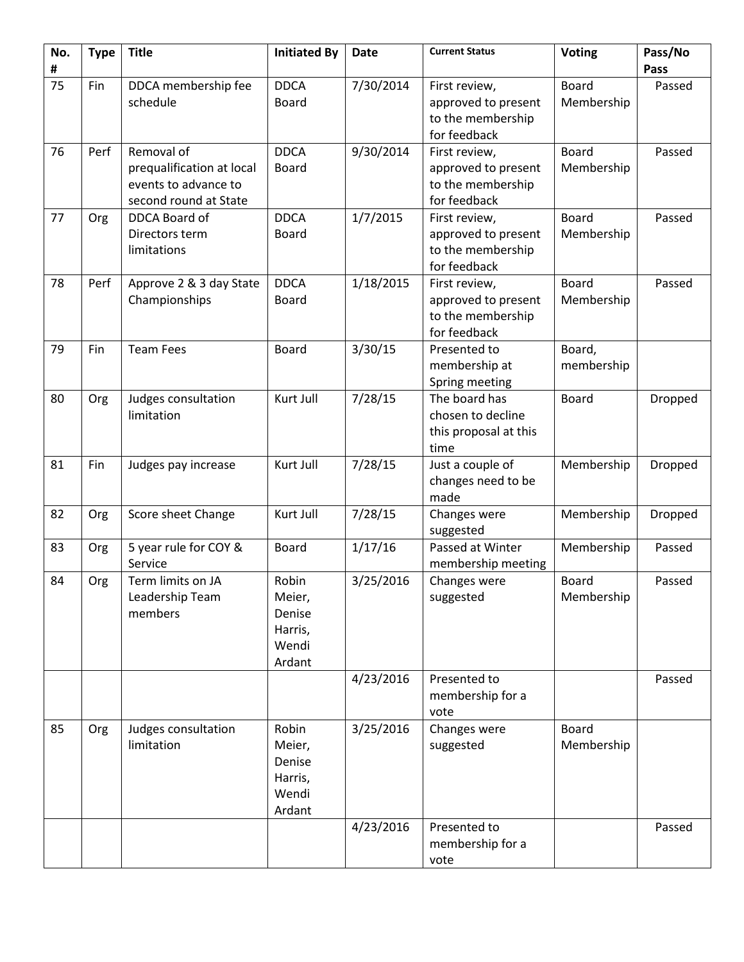| No.<br># | <b>Type</b> | <b>Title</b>                                                                             | <b>Initiated By</b>                                     | <b>Date</b> | <b>Current Status</b>                                                     | <b>Voting</b>              | Pass/No<br>Pass |
|----------|-------------|------------------------------------------------------------------------------------------|---------------------------------------------------------|-------------|---------------------------------------------------------------------------|----------------------------|-----------------|
| 75       | Fin         | DDCA membership fee<br>schedule                                                          | <b>DDCA</b><br><b>Board</b>                             | 7/30/2014   | First review,<br>approved to present<br>to the membership<br>for feedback | Board<br>Membership        | Passed          |
| 76       | Perf        | Removal of<br>prequalification at local<br>events to advance to<br>second round at State | <b>DDCA</b><br><b>Board</b>                             | 9/30/2014   | First review,<br>approved to present<br>to the membership<br>for feedback | <b>Board</b><br>Membership | Passed          |
| 77       | Org         | DDCA Board of<br>Directors term<br>limitations                                           | <b>DDCA</b><br><b>Board</b>                             | 1/7/2015    | First review,<br>approved to present<br>to the membership<br>for feedback | <b>Board</b><br>Membership | Passed          |
| 78       | Perf        | Approve 2 & 3 day State<br>Championships                                                 | <b>DDCA</b><br><b>Board</b>                             | 1/18/2015   | First review,<br>approved to present<br>to the membership<br>for feedback | <b>Board</b><br>Membership | Passed          |
| 79       | Fin         | <b>Team Fees</b>                                                                         | <b>Board</b>                                            | 3/30/15     | Presented to<br>membership at<br>Spring meeting                           | Board,<br>membership       |                 |
| 80       | Org         | Judges consultation<br>limitation                                                        | Kurt Jull                                               | 7/28/15     | The board has<br>chosen to decline<br>this proposal at this<br>time       | <b>Board</b>               | Dropped         |
| 81       | Fin         | Judges pay increase                                                                      | Kurt Jull                                               | 7/28/15     | Just a couple of<br>changes need to be<br>made                            | Membership                 | Dropped         |
| 82       | Org         | Score sheet Change                                                                       | Kurt Jull                                               | 7/28/15     | Changes were<br>suggested                                                 | Membership                 | Dropped         |
| 83       | Org         | 5 year rule for COY &<br>Service                                                         | <b>Board</b>                                            | 1/17/16     | Passed at Winter<br>membership meeting                                    | Membership                 | Passed          |
| 84       | Org         | Term limits on JA<br>Leadership Team<br>members                                          | Robin<br>Meier,<br>Denise<br>Harris,<br>Wendi<br>Ardant | 3/25/2016   | Changes were<br>suggested                                                 | Board<br>Membership        | Passed          |
|          |             |                                                                                          |                                                         | 4/23/2016   | Presented to<br>membership for a<br>vote                                  |                            | Passed          |
| 85       | Org         | Judges consultation<br>limitation                                                        | Robin<br>Meier,<br>Denise<br>Harris,<br>Wendi<br>Ardant | 3/25/2016   | Changes were<br>suggested                                                 | Board<br>Membership        |                 |
|          |             |                                                                                          |                                                         | 4/23/2016   | Presented to<br>membership for a<br>vote                                  |                            | Passed          |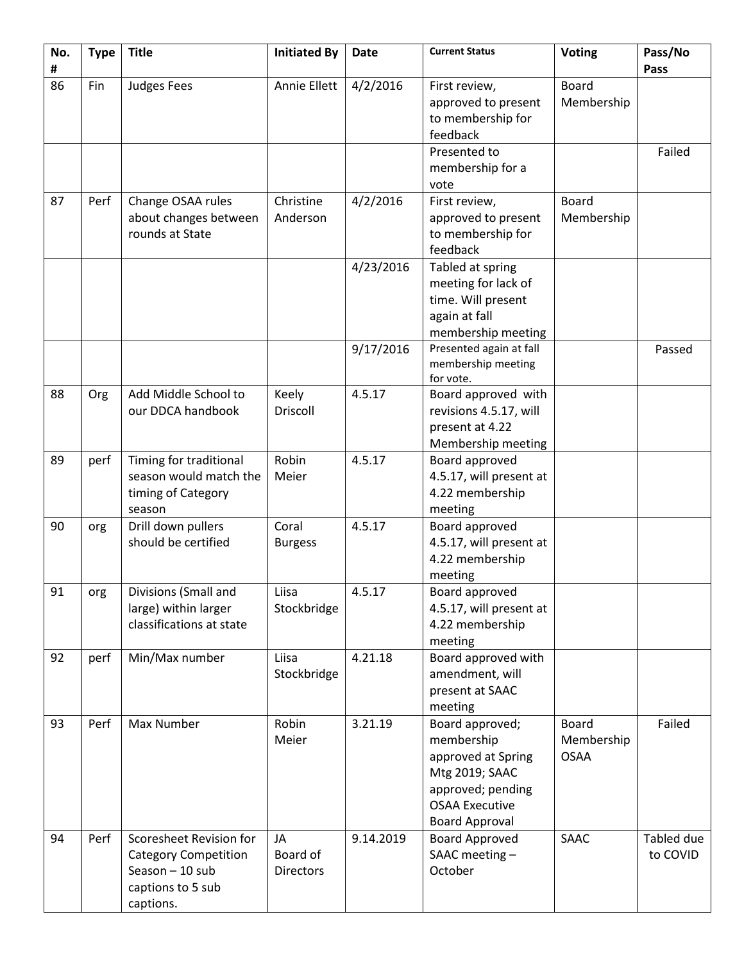| No.<br># | <b>Type</b> | <b>Title</b>                                                                                                | <b>Initiated By</b>                | <b>Date</b> | <b>Current Status</b>                                                                                                                        | <b>Voting</b>                             | Pass/No<br>Pass        |
|----------|-------------|-------------------------------------------------------------------------------------------------------------|------------------------------------|-------------|----------------------------------------------------------------------------------------------------------------------------------------------|-------------------------------------------|------------------------|
| 86       | Fin         | <b>Judges Fees</b>                                                                                          | Annie Ellett                       | 4/2/2016    | First review,<br>approved to present<br>to membership for<br>feedback                                                                        | <b>Board</b><br>Membership                |                        |
|          |             |                                                                                                             |                                    |             | Presented to<br>membership for a<br>vote                                                                                                     |                                           | Failed                 |
| 87       | Perf        | Change OSAA rules<br>about changes between<br>rounds at State                                               | Christine<br>Anderson              | 4/2/2016    | First review,<br>approved to present<br>to membership for<br>feedback                                                                        | <b>Board</b><br>Membership                |                        |
|          |             |                                                                                                             |                                    | 4/23/2016   | Tabled at spring<br>meeting for lack of<br>time. Will present<br>again at fall<br>membership meeting                                         |                                           |                        |
|          |             |                                                                                                             |                                    | 9/17/2016   | Presented again at fall<br>membership meeting<br>for vote.                                                                                   |                                           | Passed                 |
| 88       | Org         | Add Middle School to<br>our DDCA handbook                                                                   | Keely<br>Driscoll                  | 4.5.17      | Board approved with<br>revisions 4.5.17, will<br>present at 4.22<br>Membership meeting                                                       |                                           |                        |
| 89       | perf        | Timing for traditional<br>season would match the<br>timing of Category<br>season                            | Robin<br>Meier                     | 4.5.17      | Board approved<br>4.5.17, will present at<br>4.22 membership<br>meeting                                                                      |                                           |                        |
| 90       | org         | Drill down pullers<br>should be certified                                                                   | Coral<br><b>Burgess</b>            | 4.5.17      | Board approved<br>4.5.17, will present at<br>4.22 membership<br>meeting                                                                      |                                           |                        |
| 91       | org         | Divisions (Small and<br>large) within larger<br>classifications at state                                    | Liisa<br>Stockbridge               | 4.5.17      | Board approved<br>4.5.17, will present at<br>4.22 membership<br>meeting                                                                      |                                           |                        |
| 92       | perf        | Min/Max number                                                                                              | Liisa<br>Stockbridge               | 4.21.18     | Board approved with<br>amendment, will<br>present at SAAC<br>meeting                                                                         |                                           |                        |
| 93       | Perf        | Max Number                                                                                                  | Robin<br>Meier                     | 3.21.19     | Board approved;<br>membership<br>approved at Spring<br>Mtg 2019; SAAC<br>approved; pending<br><b>OSAA Executive</b><br><b>Board Approval</b> | <b>Board</b><br>Membership<br><b>OSAA</b> | Failed                 |
| 94       | Perf        | Scoresheet Revision for<br><b>Category Competition</b><br>Season - 10 sub<br>captions to 5 sub<br>captions. | JA<br>Board of<br><b>Directors</b> | 9.14.2019   | <b>Board Approved</b><br>SAAC meeting -<br>October                                                                                           | SAAC                                      | Tabled due<br>to COVID |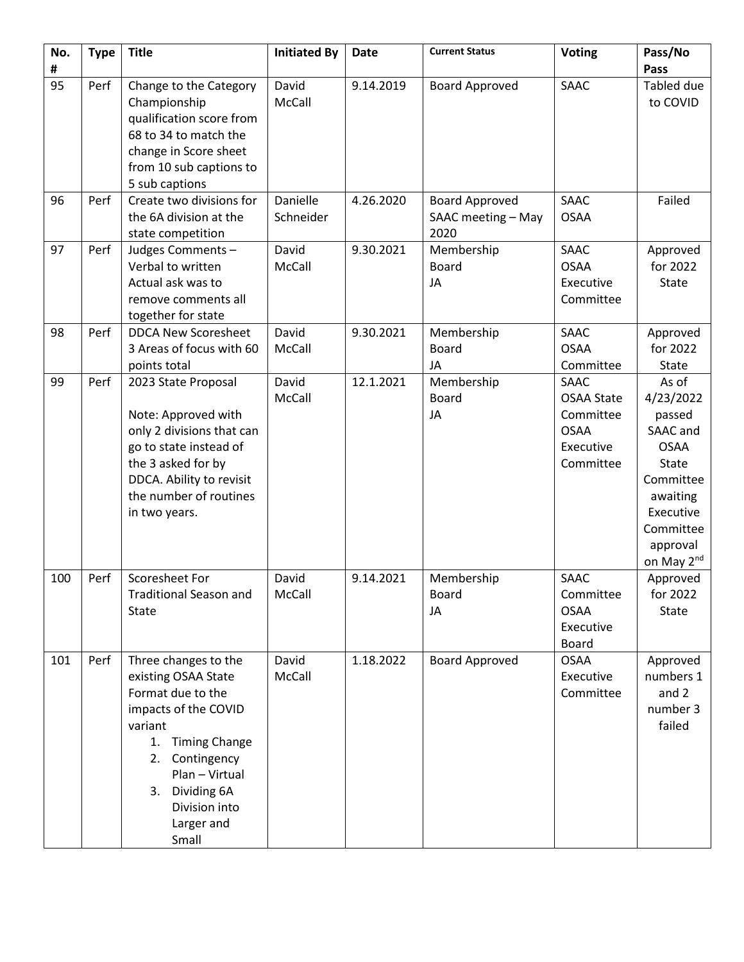| No.<br># | <b>Type</b> | <b>Title</b>                                                                                                                                                                                                                          | <b>Initiated By</b>   | <b>Date</b> | <b>Current Status</b>                               | <b>Voting</b>                                                                          | Pass/No<br>Pass                                                                                                                                           |
|----------|-------------|---------------------------------------------------------------------------------------------------------------------------------------------------------------------------------------------------------------------------------------|-----------------------|-------------|-----------------------------------------------------|----------------------------------------------------------------------------------------|-----------------------------------------------------------------------------------------------------------------------------------------------------------|
| 95       | Perf        | Change to the Category<br>Championship<br>qualification score from<br>68 to 34 to match the<br>change in Score sheet<br>from 10 sub captions to<br>5 sub captions                                                                     | David<br>McCall       | 9.14.2019   | <b>Board Approved</b>                               | SAAC                                                                                   | Tabled due<br>to COVID                                                                                                                                    |
| 96       | Perf        | Create two divisions for<br>the 6A division at the<br>state competition                                                                                                                                                               | Danielle<br>Schneider | 4.26.2020   | <b>Board Approved</b><br>SAAC meeting - May<br>2020 | SAAC<br><b>OSAA</b>                                                                    | Failed                                                                                                                                                    |
| 97       | Perf        | Judges Comments -<br>Verbal to written<br>Actual ask was to<br>remove comments all<br>together for state                                                                                                                              | David<br>McCall       | 9.30.2021   | Membership<br><b>Board</b><br>JA                    | SAAC<br><b>OSAA</b><br>Executive<br>Committee                                          | Approved<br>for 2022<br>State                                                                                                                             |
| 98       | Perf        | <b>DDCA New Scoresheet</b><br>3 Areas of focus with 60<br>points total                                                                                                                                                                | David<br>McCall       | 9.30.2021   | Membership<br><b>Board</b><br>JA                    | SAAC<br><b>OSAA</b><br>Committee                                                       | Approved<br>for 2022<br>State                                                                                                                             |
| 99       | Perf        | 2023 State Proposal<br>Note: Approved with<br>only 2 divisions that can<br>go to state instead of<br>the 3 asked for by<br>DDCA. Ability to revisit<br>the number of routines<br>in two years.                                        | David<br>McCall       | 12.1.2021   | Membership<br><b>Board</b><br>JA                    | <b>SAAC</b><br><b>OSAA State</b><br>Committee<br><b>OSAA</b><br>Executive<br>Committee | As of<br>4/23/2022<br>passed<br>SAAC and<br><b>OSAA</b><br>State<br>Committee<br>awaiting<br>Executive<br>Committee<br>approval<br>on May 2 <sup>nd</sup> |
| 100      | Perf        | Scoresheet For<br><b>Traditional Season and</b><br><b>State</b>                                                                                                                                                                       | David<br>McCall       | 9.14.2021   | Membership<br><b>Board</b><br>JA                    | SAAC<br>Committee<br><b>OSAA</b><br>Executive<br><b>Board</b>                          | Approved<br>for 2022<br><b>State</b>                                                                                                                      |
| 101      | Perf        | Three changes to the<br>existing OSAA State<br>Format due to the<br>impacts of the COVID<br>variant<br>1.<br><b>Timing Change</b><br>Contingency<br>2.<br>Plan - Virtual<br>Dividing 6A<br>3.<br>Division into<br>Larger and<br>Small | David<br>McCall       | 1.18.2022   | <b>Board Approved</b>                               | <b>OSAA</b><br>Executive<br>Committee                                                  | Approved<br>numbers 1<br>and 2<br>number 3<br>failed                                                                                                      |